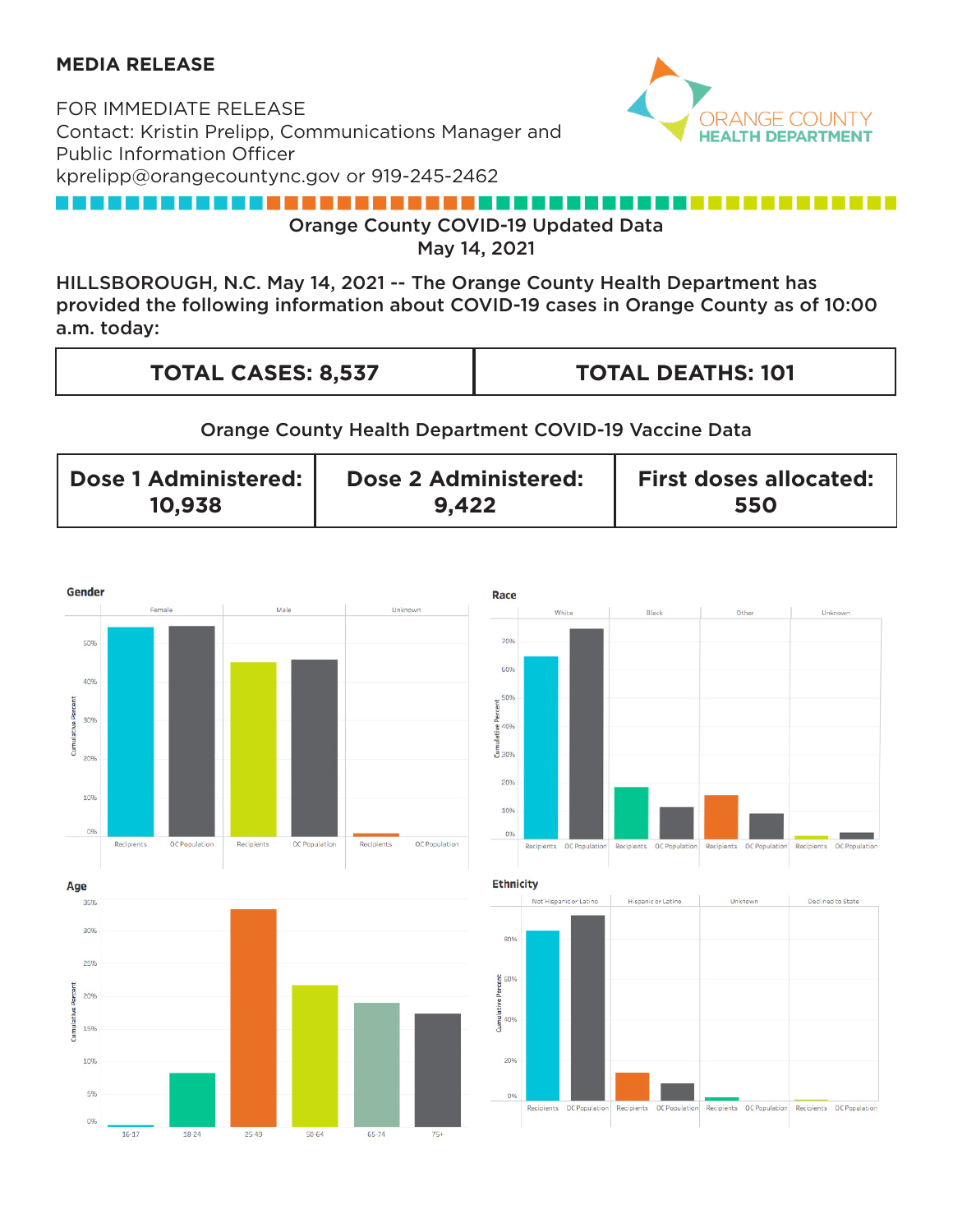# **MEDIA RELEASE**

FOR IMMEDIATE RELEASE Contact: Kristin Prelipp, Communications Manager and Public Information Officer kprelipp@orangecountync.gov or 919-245-2462



#### --------------------- 11 Orange County COVID-19 Updated Data

May 14, 2021

HILLSBOROUGH, N.C. May 14, 2021 -- The Orange County Health Department has provided the following information about COVID-19 cases in Orange County as of 10:00 a.m. today:

| <b>TOTAL CASES: 8,537</b> | <b>TOTAL DEATHS: 101</b> |
|---------------------------|--------------------------|
|                           |                          |

### Orange County Health Department COVID-19 Vaccine Data

| Dose 1 Administered: | Dose 2 Administered: | <b>First doses allocated:</b> |
|----------------------|----------------------|-------------------------------|
| 10,938               | 9,422                | 550                           |

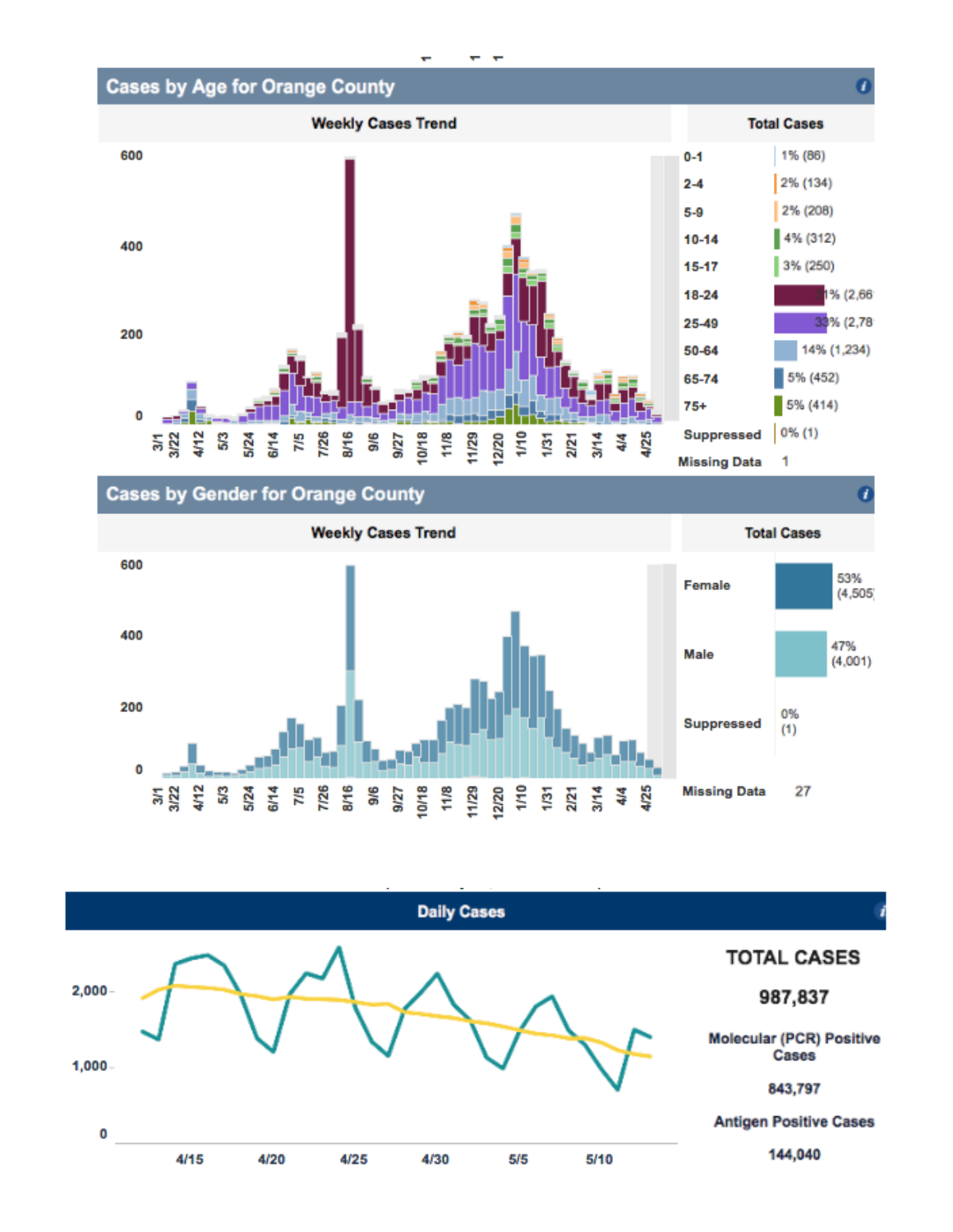

# **Cases by Gender for Orange County**

**Weekly Cases Trend Total Cases** 600 53% Female  $(4, 505)$ 400 47% Male  $(4,001)$ 200 0% **Suppressed**  $(1)$ 0 33 2 3 3 3 5 6 8 9 9 9 8 9/27 10/18 11/8 11/29  $3/14$ यू<br>च 4/25 **Missing Data** 27

1

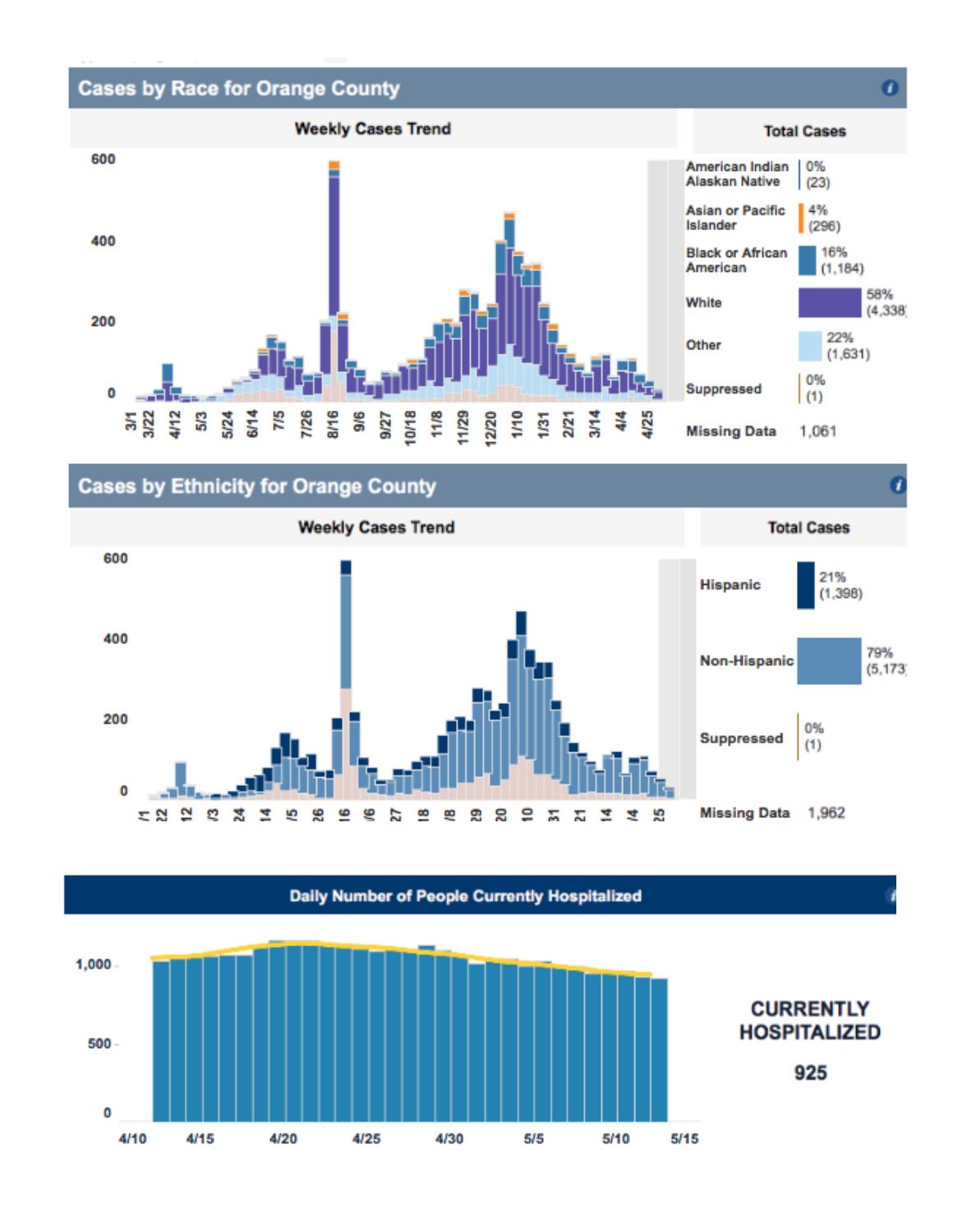





1

**Daily Number of People Currently Hospitalized**